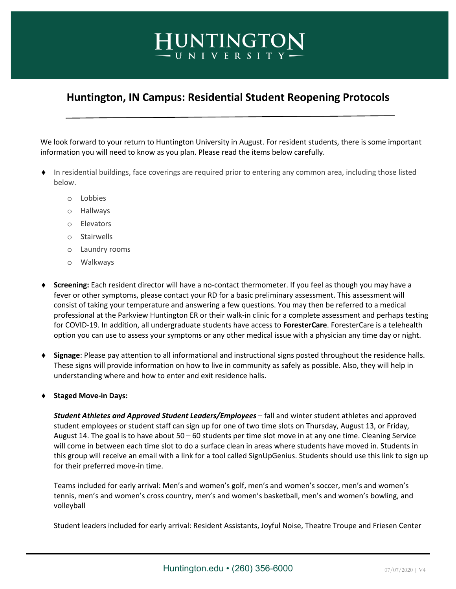## **Huntington, IN Campus: Residential Student Reopening Protocols**

HUNTINGTON -UNIVERSITY-

We look forward to your return to Huntington University in August. For resident students, there is some important information you will need to know as you plan. Please read the items below carefully.

- In residential buildings, face coverings are required prior to entering any common area, including those listed below.
	- o Lobbies
	- o Hallways
	- o Elevators
	- o Stairwells
	- o Laundry rooms
	- o Walkways
- **Screening:** Each resident director will have a no-contact thermometer. If you feel as though you may have a fever or other symptoms, please contact your RD for a basic preliminary assessment. This assessment will consist of taking your temperature and answering a few questions. You may then be referred to a medical professional at the Parkview Huntington ER or their walk-in clinic for a complete assessment and perhaps testing for COVID-19. In addition, all undergraduate students have access to **ForesterCare**. ForesterCare is a telehealth option you can use to assess your symptoms or any other medical issue with a physician any time day or night.
- ¨ **Signage**: Please pay attention to all informational and instructional signs posted throughout the residence halls. These signs will provide information on how to live in community as safely as possible. Also, they will help in understanding where and how to enter and exit residence halls.
- ¨ **Staged Move-in Days:**

*Student Athletes and Approved Student Leaders/Employees* – fall and winter student athletes and approved student employees or student staff can sign up for one of two time slots on Thursday, August 13, or Friday, August 14. The goal is to have about 50 – 60 students per time slot move in at any one time. Cleaning Service will come in between each time slot to do a surface clean in areas where students have moved in. Students in this group will receive an email with a link for a tool called SignUpGenius. Students should use this link to sign up for their preferred move-in time.

Teams included for early arrival: Men's and women's golf, men's and women's soccer, men's and women's tennis, men's and women's cross country, men's and women's basketball, men's and women's bowling, and volleyball

Student leaders included for early arrival: Resident Assistants, Joyful Noise, Theatre Troupe and Friesen Center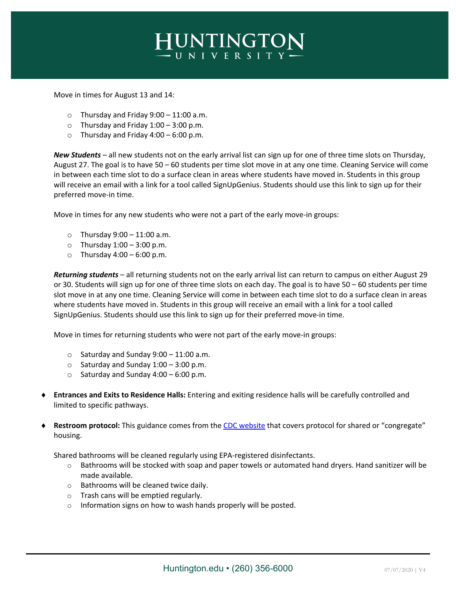

Move in times for August 13 and 14:

- $\circ$  Thursday and Friday 9:00 11:00 a.m.
- $\circ$  Thursday and Friday 1:00 3:00 p.m.
- $\circ$  Thursday and Friday 4:00 6:00 p.m.

*New Students* – all new students not on the early arrival list can sign up for one of three time slots on Thursday, August 27. The goal is to have 50 – 60 students per time slot move in at any one time. Cleaning Service will come in between each time slot to do a surface clean in areas where students have moved in. Students in this group will receive an email with a link for a tool called SignUpGenius. Students should use this link to sign up for their preferred move-in time.

Move in times for any new students who were not a part of the early move-in groups:

- $\circ$  Thursday 9:00 11:00 a.m.
- $\circ$  Thursday 1:00 3:00 p.m.
- $\circ$  Thursday 4:00 6:00 p.m.

*Returning students* – all returning students not on the early arrival list can return to campus on either August 29 or 30. Students will sign up for one of three time slots on each day. The goal is to have 50 – 60 students per time slot move in at any one time. Cleaning Service will come in between each time slot to do a surface clean in areas where students have moved in. Students in this group will receive an email with a link for a tool called SignUpGenius. Students should use this link to sign up for their preferred move-in time.

Move in times for returning students who were not part of the early move-in groups:

- $\circ$  Saturday and Sunday 9:00 11:00 a.m.
- $\circ$  Saturday and Sunday 1:00 3:00 p.m.
- $\circ$  Saturday and Sunday 4:00 6:00 p.m.
- ¨ **Entrances and Exits to Residence Halls:** Entering and exiting residence halls will be carefully controlled and limited to specific pathways.
- Restroom protocol: This guidance comes from the CDC website that covers protocol for shared or "congregate" housing.

Shared bathrooms will be cleaned regularly using EPA-registered disinfectants.

- $\circ$  Bathrooms will be stocked with soap and paper towels or automated hand dryers. Hand sanitizer will be made available.
- o Bathrooms will be cleaned twice daily.
- o Trash cans will be emptied regularly.
- o Information signs on how to wash hands properly will be posted.